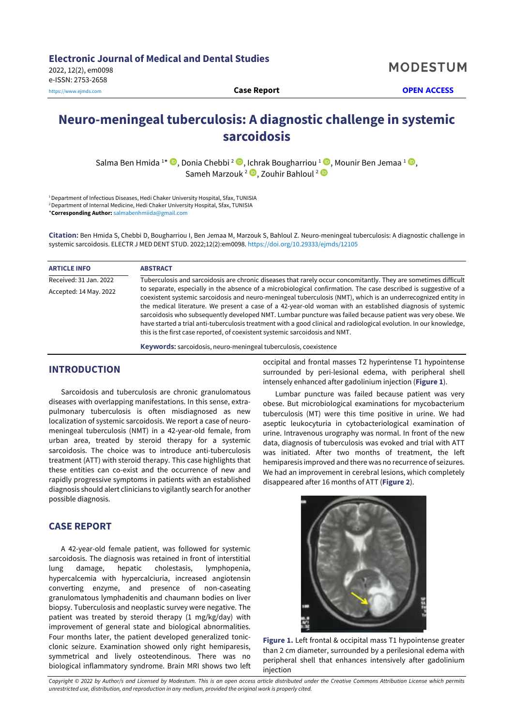**MODESTUM** 

# **Neuro-meningeal tuberculosis: A diagnostic challenge in systemic sarcoidosis**

Salma Ben Hmida 1\* ®[,](https://orcid.org/0000-0002-3532-7623) Donia Chebbi <sup>2</sup> ®, Ichrak Bougharriou <sup>1</sup> ®, Mounir Ben Jemaa <sup>1</sup> ®, Sameh Marzouk<sup>2</sup> D[,](https://orcid.org/0000-0002-1494-2360) Zouhir Bahloul<sup>2</sup>

<sup>1</sup> Department of Infectious Diseases, Hedi Chaker University Hospital, Sfax, TUNISIA <sup>2</sup> Department of Internal Medicine, Hedi Chaker University Hospital, Sfax, TUNISIA \***Corresponding Author:** [salmabenhmiida@gmail.com](mailto:salmabenhmiida@gmail.com)

**Citation:** Ben Hmida S, Chebbi D, Bougharriou I, Ben Jemaa M, Marzouk S, Bahloul Z. Neuro-meningeal tuberculosis: A diagnostic challenge in systemic sarcoidosis. ELECTR J MED DENT STUD. 2022;12(2):em0098. <https://doi.org/10.29333/ejmds/12105>

| <b>ARTICLE INFO</b>    | <b>ABSTRACT</b>                                                                                                                                                                                                                                                                                                                                                                                                                                                                                                                                                                                                                                                    |
|------------------------|--------------------------------------------------------------------------------------------------------------------------------------------------------------------------------------------------------------------------------------------------------------------------------------------------------------------------------------------------------------------------------------------------------------------------------------------------------------------------------------------------------------------------------------------------------------------------------------------------------------------------------------------------------------------|
| Received: 31 Jan. 2022 | Tuberculosis and sarcoidosis are chronic diseases that rarely occur concomitantly. They are sometimes difficult                                                                                                                                                                                                                                                                                                                                                                                                                                                                                                                                                    |
| Accepted: 14 May. 2022 | to separate, especially in the absence of a microbiological confirmation. The case described is suggestive of a<br>coexistent systemic sarcoidosis and neuro-meningeal tuberculosis (NMT), which is an underrecognized entity in<br>the medical literature. We present a case of a 42-year-old woman with an established diagnosis of systemic<br>sarcoidosis who subsequently developed NMT. Lumbar puncture was failed because patient was very obese. We<br>have started a trial anti-tuberculosis treatment with a good clinical and radiological evolution. In our knowledge,<br>this is the first case reported, of coexistent systemic sarcoidosis and NMT. |

**Keywords:** sarcoidosis, neuro-meningeal tuberculosis, coexistence

#### **INTRODUCTION**

Sarcoidosis and tuberculosis are chronic granulomatous diseases with overlapping manifestations. In this sense, extrapulmonary tuberculosis is often misdiagnosed as new localization of systemic sarcoidosis. We report a case of neuromeningeal tuberculosis (NMT) in a 42-year-old female, from urban area, treated by steroid therapy for a systemic sarcoidosis. The choice was to introduce anti-tuberculosis treatment (ATT) with steroid therapy. This case highlights that these entities can co-exist and the occurrence of new and rapidly progressive symptoms in patients with an established diagnosis should alert clinicians to vigilantly search for another possible diagnosis.

## **CASE REPORT**

A 42-year-old female patient, was followed for systemic sarcoidosis. The diagnosis was retained in front of interstitial lung damage, hepatic cholestasis, lymphopenia, hypercalcemia with hypercalciuria, increased angiotensin converting enzyme, and presence of non-caseating granulomatous lymphadenitis and chaumann bodies on liver biopsy. Tuberculosis and neoplastic survey were negative. The patient was treated by steroid therapy (1 mg/kg/day) with improvement of general state and biological abnormalities. Four months later, the patient developed generalized tonicclonic seizure. Examination showed only right hemiparesis, symmetrical and lively osteotendinous. There was no biological inflammatory syndrome. Brain MRI shows two left occipital and frontal masses T2 hyperintense T1 hypointense surrounded by peri-lesional edema, with peripheral shell intensely enhanced after gadolinium injection (**Figure 1**).

Lumbar puncture was failed because patient was very obese. But microbiological examinations for mycobacterium tuberculosis (MT) were this time positive in urine. We had aseptic leukocyturia in cytobacteriological examination of urine. Intravenous urography was normal. In front of the new data, diagnosis of tuberculosis was evoked and trial with ATT was initiated. After two months of treatment, the left hemiparesis improved and there was no recurrence of seizures. We had an improvement in cerebral lesions, which completely disappeared after 16 months of ATT (**Figure 2**).



**Figure 1.** Left frontal & occipital mass T1 hypointense greater than 2 cm diameter, surrounded by a perilesional edema with peripheral shell that enhances intensively after gadolinium injection

Copyright © 2022 by Author/s and Licensed by Modestum. This is an open access article distributed under the Creative Commons Attribution License which permits *unrestricted use, distribution, and reproduction in any medium, provided the original work is properly cited.*